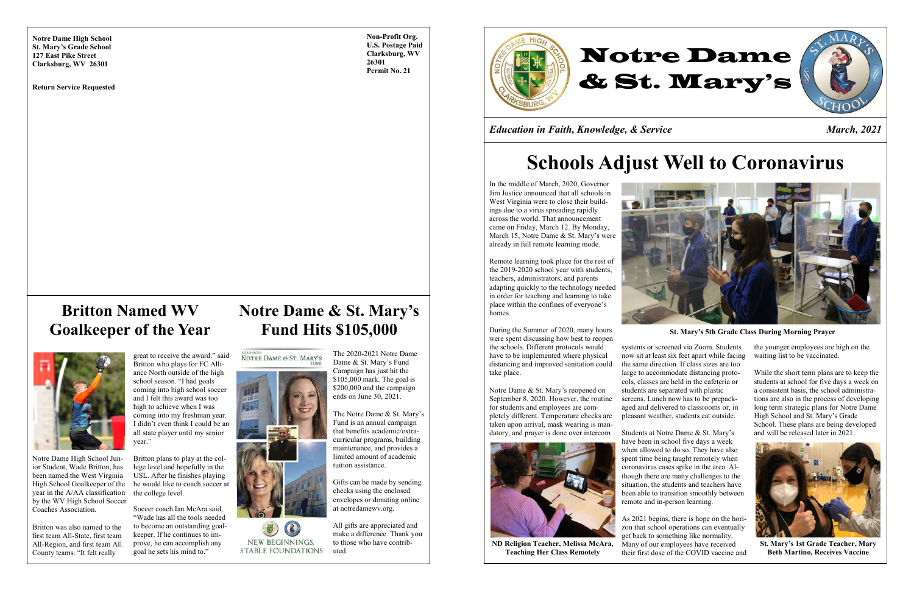

**Non-Profit Org. U.S. Postage Paid Clarksburg, WV 26301 Permit No. 21**

*Education in Faith, Knowledge, & Service March, 2021*

**Notre Dame High School St. Mary's Grade School 127 East Pike Street Clarksburg, WV 26301**

### **Notre Dame & St. Mary's Fund Hits \$105,000**

2020-2021<br>NOTRE DAME & ST. MARY'S



NEW BEGINNINGS, **STABLE FOUNDATIONS** 

The Notre Dame & St. Mary's Fund is an annual campaign that benefits academic/extracurricular programs, building maintenance, and provides a limited amount of academic tuition assistance.

The 2020-2021 Notre Dame Dame & St. Mary"s Fund Campaign has just hit the \$105,000 mark. The goal is \$200,000 and the campaign ends on June 30, 2021.

Gifts can be made by sending checks using the enclosed envelopes or donating online at notredamewv.org.

All gifts are appreciated and make a difference. Thank you to those who have contributed.

Notre Dame High School Junior Student, Wade Britton, has been named the West Virginia High School Goalkeeper of the year in the A/AA classification by the WV High School Soccer Coaches Association.

Britton was also named to the first team All-State, first team All-Region, and first team All County teams. "It felt really

great to receive the award." said Britton who plays for FC Alliance North outside of the high school season. "I had goals coming into high school soccer and I felt this award was too high to achieve when I was coming into my freshman year. I didn"t even think I could be an all state player until my senior year."

Britton plans to play at the college level and hopefully in the USL. After he finishes playing he would like to coach soccer at the college level.

Soccer coach Ian McAra said, "Wade has all the tools needed to become an outstanding goalkeeper. If he continues to improve, he can accomplish any goal he sets his mind to."

# **Schools Adjust Well to Coronavirus**

In the middle of March, 2020, Governor Jim Justice announced that all schools in West Virginia were to close their buildings due to a virus spreading rapidly across the world. That announcement came on Friday, March 12. By Monday, March 15, Notre Dame & St. Mary"s were already in full remote learning mode.

Remote learning took place for the rest of the 2019-2020 school year with students, teachers, administrators, and parents adapting quickly to the technology needed in order for teaching and learning to take place within the confines of everyone"s homes.

During the Summer of 2020, many hours were spent discussing how best to reopen the schools. Different protocols would have to be implemented where physical distancing and improved sanitation could take place.

Notre Dame & St. Mary"s reopened on September 8, 2020. However, the routine for students and employees are completely different. Temperature checks are taken upon arrival, mask wearing is mandatory, and prayer is done over intercom



systems or screened via Zoom. Students now sit at least six feet apart while facing the same direction. If class sizes are too large to accommodate distancing protocols, classes are held in the cafeteria or students are separated with plastic screens. Lunch now has to be prepackaged and delivered to classrooms or, in pleasant weather, students eat outside.

Students at Notre Dame & St. Mary"s have been in school five days a week when allowed to do so. They have also spent time being taught remotely when coronavirus cases spike in the area. Although there are many challenges to the situation, the students and teachers have been able to transition smoothly between remote and in-person learning.

As 2021 begins, there is hope on the horizon that school operations can eventually get back to something like normality. Many of our employees have received their first dose of the COVID vaccine and the younger employees are high on the waiting list to be vaccinated.

While the short term plans are to keep the students at school for five days a week on a consistent basis, the school administrations are also in the process of developing long term strategic plans for Notre Dame High School and St. Mary"s Grade School. These plans are being developed and will be released later in 2021.



**St. Mary's 5th Grade Class During Morning Prayer**



**St. Mary's 1st Grade Teacher, Mary Beth Martino, Receives Vaccine**

**ND Religion Teacher, Melissa McAra, Teaching Her Class Remotely**

## **Britton Named WV Goalkeeper of the Year**



**Return Service Requested**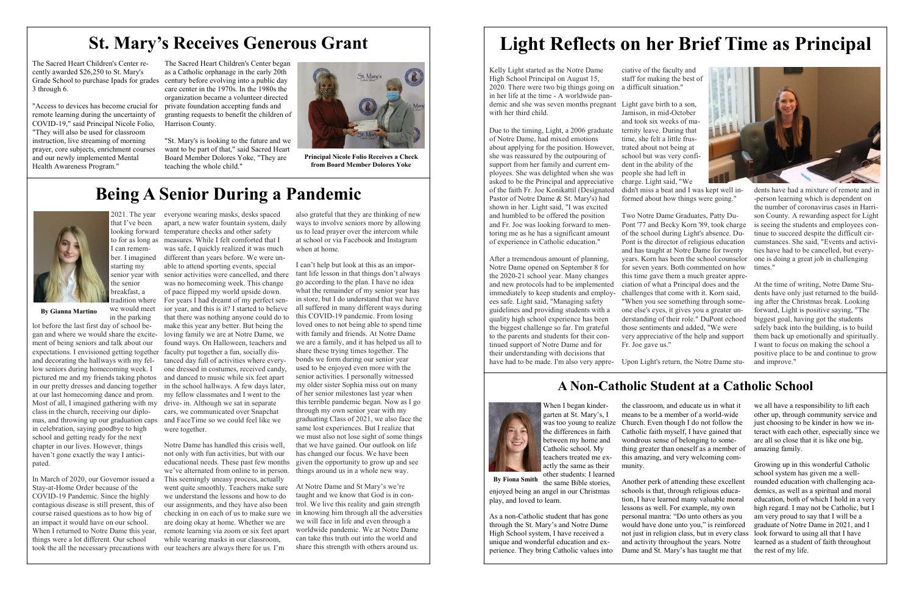## **St. Mary's Receives Generous Grant**

The Sacred Heart Children's Center recently awarded \$26,250 to St. Mary's 3 through 6.

"Access to devices has become crucial for remote learning during the uncertainty of COVID-19," said Principal Nicole Folio, "They will also be used for classroom instruction, live streaming of morning prayer, core subjects, enrichment courses and our newly implemented Mental Health Awareness Program."

Grade School to purchase Ipads for grades century before evolving into a public day The Sacred Heart Children's Center began as a Catholic orphanage in the early 20th care center in the 1970s. In the 1980s the organization became a volunteer directed private foundation accepting funds and granting requests to benefit the children of Harrison County.

Kelly Light started as the Notre Dame High School Principal on August 15, 2020. There were two big things going on in her life at the time - A worldwide pandemic and she was seven months pregnant Light gave birth to a son, with her third child.

"St. Mary's is looking to the future and we want to be part of that," said Sacred Heart Board Member Dolores Yoke, "They are teaching the whole child."

# **Light Reflects on her Brief Time as Principal**

Due to the timing, Light, a 2006 graduate of Notre Dame, had mixed emotions about applying for the position. However, she was reassured by the outpouring of support from her family and current employees. She was delighted when she was asked to be the Principal and appreciative of the faith Fr. Joe Konikattil (Designated Pastor of Notre Dame & St. Mary's) had shown in her. Light said, "I was excited and humbled to be offered the position and Fr. Joe was looking forward to mentoring me as he has a significant amount of experience in Catholic education."

After a tremendous amount of planning, Notre Dame opened on September 8 for the 2020-21 school year. Many changes and new protocols had to be implemented immediately to keep students and employees safe. Light said, "Managing safety guidelines and providing students with a quality high school experience has been the biggest challenge so far. I'm grateful to the parents and students for their continued support of Notre Dame and for their understanding with decisions that

ciative of the faculty and staff for making the best of a difficult situation."

Jamison, in mid-October and took six weeks of maternity leave. During that time, she felt a little frustrated about not being at school but was very confident in the ability of the people she had left in charge. Light said, "We didn't miss a beat and I was kept well informed about how things were going."

have had to be made. I'm also very appre-Upon Light's return, the Notre Dame stu-

Two Notre Dame Graduates, Patty Du-Pont '77 and Becky Korn '89, took charge of the school during Light's absence. Du-Pont is the director of religious education and has taught at Notre Dame for twenty years. Korn has been the school counselor for seven years. Both commented on how this time gave them a much greater appreciation of what a Principal does and the challenges that come with it. Korn said, "When you see something through someone else's eyes, it gives you a greater understanding of their role." DuPont echoed those sentiments and added, "We were very appreciative of the help and support

Fr. Joe gave us."

dents have had a mixture of remote and in -person learning which is dependent on the number of coronavirus cases in Harrison County. A rewarding aspect for Light is seeing the students and employees continue to succeed despite the difficult circumstances. She said, "Events and activities have had to be cancelled, but everyone is doing a great job in challenging times."

At the time of writing, Notre Dame Students have only just returned to the building after the Christmas break. Looking forward, Light is positive saying, "The biggest goal, having got the students safely back into the building, is to build them back up emotionally and spiritually. I want to focus on making the school a positive place to be and continue to grow and improve."

### **A Non-Catholic Student at a Catholic School**



When I began kindergarten at St. Mary"s, I the differences in faith between my home and Catholic school. My teachers treated me exactly the same as their other students: I learned

As a non-Catholic student that has gone through the St. Mary"s and Notre Dame High School system, I have received a unique and wonderful education and experience. They bring Catholic values into

was too young to realize Church. Even though I do not follow the the classroom, and educate us in what it means to be a member of a world-wide Catholic faith myself, I have gained that wondrous sense of belonging to something greater than oneself as a member of this amazing, and very welcoming community.

the same Bible stories, enjoyed being an angel in our Christmas play, and loved to learn. **By Fiona Smith**

we all have a responsibility to lift each other up, through community service and just choosing to be kinder in how we interact with each other, especially since we are all so close that it is like one big, amazing family.

Another perk of attending these excellent schools is that, through religious education, I have learned many valuable moral lessons as well. For example, my own personal mantra: "Do unto others as you would have done unto you," is reinforced not just in religion class, but in every class and activity throughout the years. Notre Dame and St. Mary"s has taught me that Growing up in this wonderful Catholic school system has given me a wellrounded education with challenging academics, as well as a spiritual and moral education, both of which I hold in a very high regard. I may not be Catholic, but I am very proud to say that I will be a graduate of Notre Dame in 2021, and I look forward to using all that I have learned as a student of faith throughout the rest of my life.



I can remember. I imagined starting my the senior breakfast, a tradition where

we would meet

in the parking lot before the last first day of school began and where we would share the excitement of being seniors and talk about our expectations. I envisioned getting together faculty put together a fun, socially disand decorating the hallways with my fellow seniors during homecoming week. I pictured me and my friends taking photos in our pretty dresses and dancing together at our last homecoming dance and prom. Most of all, I imagined gathering with my drive- in. Although we sat in separate class in the church, receiving our diplomas, and throwing up our graduation caps and FaceTime so we could feel like we in celebration, saying goodbye to high school and getting ready for the next chapter in our lives. However, things haven't gone exactly the way I anticipated.

2021. The year everyone wearing masks, desks spaced that I"ve been looking forward temperature checks and other safety to for as long as measures. While I felt comforted that I senior year with senior activities were cancelled, and there apart, a new water fountain system, daily was safe, I quickly realized it was much different than years before. We were unable to attend sporting events, special was no homecoming week. This change of pace flipped my world upside down.

In March of 2020, our Governor issued a Stay-at-Home Order because of the COVID-19 Pandemic. Since the highly contagious disease is still present, this of course raised questions as to how big of an impact it would have on our school. When I returned to Notre Dame this year, remote learning via zoom or six feet apart things were a lot different. Our school took the all the necessary precautions with our teachers are always there for us. I"m

For years I had dreamt of my perfect senior year, and this is it? I started to believe that there was nothing anyone could do to make this year any better. But being the loving family we are at Notre Dame, we found ways. On Halloween, teachers and tanced day full of activities where everyone dressed in costumes, received candy, and danced to music while six feet apart in the school hallways. A few days later, my fellow classmates and I went to the cars, we communicated over Snapchat were together.

Notre Dame has handled this crisis well, not only with fun activities, but with our educational needs. These past few months given the opportunity to grow up and see we've alternated from online to in person. things around us in a whole new way. This seemingly uneasy process, actually went quite smoothly. Teachers make sure we understand the lessons and how to do our assignments, and they have also been are doing okay at home. Whether we are while wearing masks in our classroom,

also grateful that they are thinking of new ways to involve seniors more by allowing us to lead prayer over the intercom while at school or via Facebook and Instagram when at home.

I can"t help but look at this as an important life lesson in that things don"t always go according to the plan. I have no idea what the remainder of my senior year has in store, but I do understand that we have all suffered in many different ways during this COVID-19 pandemic. From losing loved ones to not being able to spend time with family and friends. At Notre Dame we are a family, and it has helped us all to share these trying times together. The bonds we form during our senior year used to be enjoyed even more with the senior activities. I personally witnessed my older sister Sophia miss out on many of her senior milestones last year when this terrible pandemic began. Now as I go through my own senior year with my graduating Class of 2021, we also face the same lost experiences. But I realize that we must also not lose sight of some things that we have gained. Our outlook on life has changed our focus. We have been

checking in on each of us to make sure we in knowing him through all the adversities At Notre Dame and St Mary"s we"re taught and we know that God is in control. We live this reality and gain strength we will face in life and even through a worldwide pandemic. We at Notre Dame can take this truth out into the world and share this strength with others around us.

## **Being A Senior During a Pandemic**



**By Gianna Martino**



**Principal Nicole Folio Receives a Check from Board Member Dolores Yoke**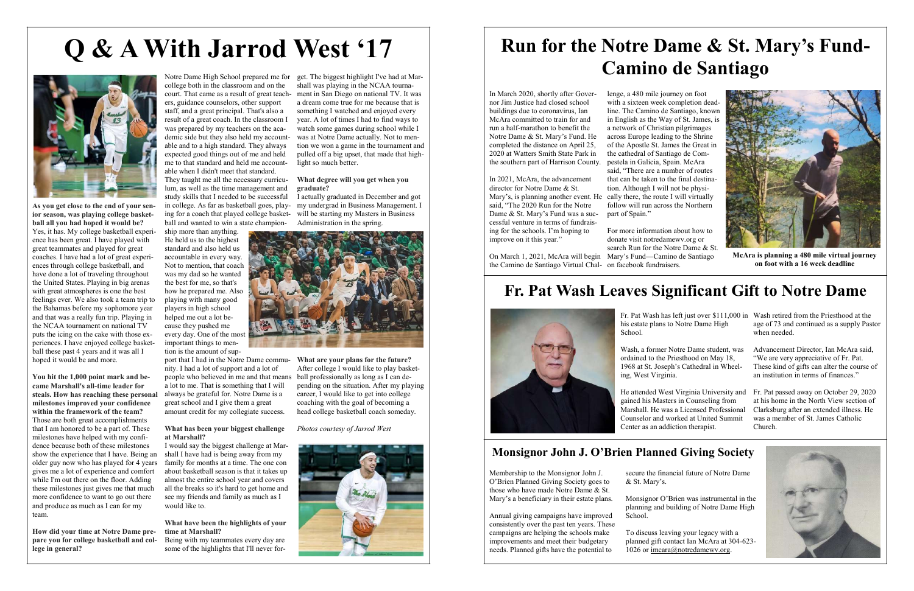# **Run for the Notre Dame & St. Mary's Fund-Camino de Santiago**

Membership to the Monsignor John J. O"Brien Planned Giving Society goes to those who have made Notre Dame & St. Mary"s a beneficiary in their estate plans.

> To discuss leaving your legacy with a planned gift contact Ian McAra at 304-623 1026 or [imcara@notredamewv.org.](mailto:imcara@notredamewv.org)

Annual giving campaigns have improved consistently over the past ten years. These campaigns are helping the schools make improvements and meet their budgetary needs. Planned gifts have the potential to

secure the financial future of Notre Dame

& St. Mary"s.

School.

Monsignor O"Brien was instrumental in the planning and building of Notre Dame High



Wash, a former Notre Dame student, was ordained to the Priesthood on May 18, 1968 at St. Joseph"s Cathedral in Wheeling, West Virginia.

Fr. Pat Wash has left just over \$111,000 in Wash retired from the Priesthood at the his estate plans to Notre Dame High School. age of 73 and continued as a supply Pastor when needed.

He attended West Virginia University and gained his Masters in Counseling from Marshall. He was a Licensed Professional Counselor and worked at United Summit Center as an addiction therapist. Fr. Pat passed away on October 29, 2020 at his home in the North View section of Clarksburg after an extended illness. He was a member of St. James Catholic Church.

Advancement Director, Ian McAra said, "We are very appreciative of Fr. Pat. These kind of gifts can alter the course of an institution in terms of finances."

### **Monsignor John J. O'Brien Planned Giving Society**

In March 2020, shortly after Governor Jim Justice had closed school buildings due to coronavirus, Ian McAra committed to train for and run a half-marathon to benefit the Notre Dame & St. Mary"s Fund. He completed the distance on April 25, 2020 at Watters Smith State Park in the southern part of Harrison County.

In 2021, McAra, the advancement director for Notre Dame & St. Mary"s, is planning another event. He said, "The 2020 Run for the Notre Dame & St. Mary's Fund was a successful venture in terms of fundraising for the schools. I"m hoping to improve on it this year."

court. That came as a result of great teach-ment in San Diego on national TV. It was get. The biggest highlight I've had at Marshall was playing in the NCAA tournaa dream come true for me because that is something I watched and enjoyed every year. A lot of times I had to find ways to watch some games during school while I was at Notre Dame actually. Not to mention we won a game in the tournament and pulled off a big upset, that made that highlight so much better.

lenge, a 480 mile journey on foot with a sixteen week completion deadline. The Camino de Santiago, known in English as the Way of St. James, is a network of Christian pilgrimages across Europe leading to the Shrine of the Apostle St. James the Great in the cathedral of Santiago de Compestela in Galicia, Spain. McAra said, "There are a number of routes that can be taken to the final destination. Although I will not be physically there, the route I will virtually follow will run across the Northern part of Spain."

On March 1, 2021, McAra will begin Mary"s Fund—Camino de Santiago the Camino de Santiago Virtual Chal-on facebook fundraisers. For more information about how to donate visit notredamewv.org or search Run for the Notre Dame & St.

**As you get close to the end of your senior season, was playing college basketball all you had hoped it would be?** Yes, it has. My college basketball experience has been great. I have played with great teammates and played for great coaches. I have had a lot of great experiences through college basketball, and have done a lot of traveling throughout the United States. Playing in big arenas with great atmospheres is one the best feelings ever. We also took a team trip to the Bahamas before my sophomore year and that was a really fun trip. Playing in the NCAA tournament on national TV puts the icing on the cake with those experiences. I have enjoyed college basketball these past 4 years and it was all I hoped it would be and more.

**You hit the 1,000 point mark and became Marshall's all-time leader for steals. How has reaching these personal milestones improved your confidence within the framework of the team?** Those are both great accomplishments that I am honored to be a part of. These milestones have helped with my confidence because both of these milestones show the experience that I have. Being an older guy now who has played for 4 years gives me a lot of experience and comfort while I'm out there on the floor. Adding these milestones just gives me that much more confidence to want to go out there and produce as much as I can for my team.

**How did your time at Notre Dame prepare you for college basketball and college in general?**

Notre Dame High School prepared me for college both in the classroom and on the ers, guidance counselors, other support staff, and a great principal. That's also a result of a great coach. In the classroom I was prepared by my teachers on the academic side but they also held my accountable and to a high standard. They always expected good things out of me and held me to that standard and held me accountable when I didn't meet that standard. They taught me all the necessary curricu-

lum, as well as the time management and study skills that I needed to be successful ball and wanted to win a state champion-

ship more than anything. He held us to the highest standard and also held us accountable in every way. Not to mention, that coach was my dad so he wanted the best for me, so that's how he prepared me. Also playing with many good players in high school helped me out a lot because they pushed me every day. One of the most important things to mention is the amount of sup-

nity. I had a lot of support and a lot of people who believed in me and that means a lot to me. That is something that I will always be grateful for. Notre Dame is a great school and I give them a great amount credit for my collegiate success.

#### **What has been your biggest challenge at Marshall?**

in college. As far as basketball goes, play-my undergrad in Business Management. I ing for a coach that played college basket-will be starting my Masters in Business I actually graduated in December and got Administration in the spring.



I would say the biggest challenge at Marshall I have had is being away from my family for months at a time. The one con about basketball season is that it takes up almost the entire school year and covers all the breaks so it's hard to get home and see my friends and family as much as I would like to.

### **What have been the highlights of your time at Marshall?**

Being with my teammates every day are some of the highlights that I'll never for-

port that I had in the Notre Dame commu-**What are your plans for the future?** After college I would like to play basketball professionally as long as I can depending on the situation. After my playing career, I would like to get into college coaching with the goal of becoming a head college basketball coach someday.

### **What degree will you get when you graduate?**

*Photos courtesy of Jarrod West*



# **Q & A With Jarrod West '17**



## **Fr. Pat Wash Leaves Significant Gift to Notre Dame**





**McAra is planning a 480 mile virtual journey on foot with a 16 week deadline**